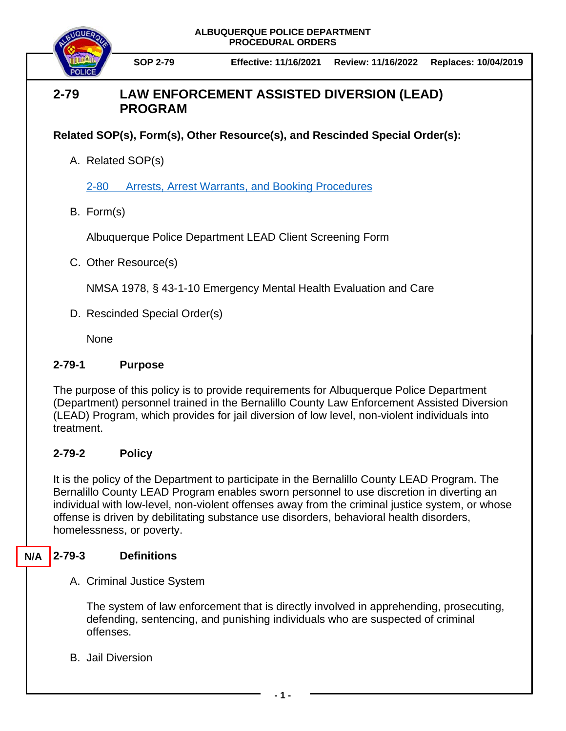

# **2-79 LAW ENFORCEMENT ASSISTED DIVERSION (LEAD) PROGRAM**

**Related SOP(s), Form(s), Other Resource(s), and Rescinded Special Order(s):**

A. Related SOP(s)

[2-80 Arrests, Arrest Warrants, and Booking Procedures](https://powerdms.com/docs/97)

B. Form(s)

Albuquerque Police Department LEAD Client Screening Form

C. Other Resource(s)

NMSA 1978, § 43-1-10 Emergency Mental Health Evaluation and Care

D. Rescinded Special Order(s)

**None** 

# **2-79-1 Purpose**

The purpose of this policy is to provide requirements for Albuquerque Police Department (Department) personnel trained in the Bernalillo County Law Enforcement Assisted Diversion (LEAD) Program, which provides for jail diversion of low level, non-violent individuals into treatment.

# **2-79-2 Policy**

It is the policy of the Department to participate in the Bernalillo County LEAD Program. The Bernalillo County LEAD Program enables sworn personnel to use discretion in diverting an individual with low-level, non-violent offenses away from the criminal justice system, or whose offense is driven by debilitating substance use disorders, behavioral health disorders, homelessness, or poverty.

### **2-79-3 Definitions N/A**

A. Criminal Justice System

The system of law enforcement that is directly involved in apprehending, prosecuting, defending, sentencing, and punishing individuals who are suspected of criminal offenses.

B. Jail Diversion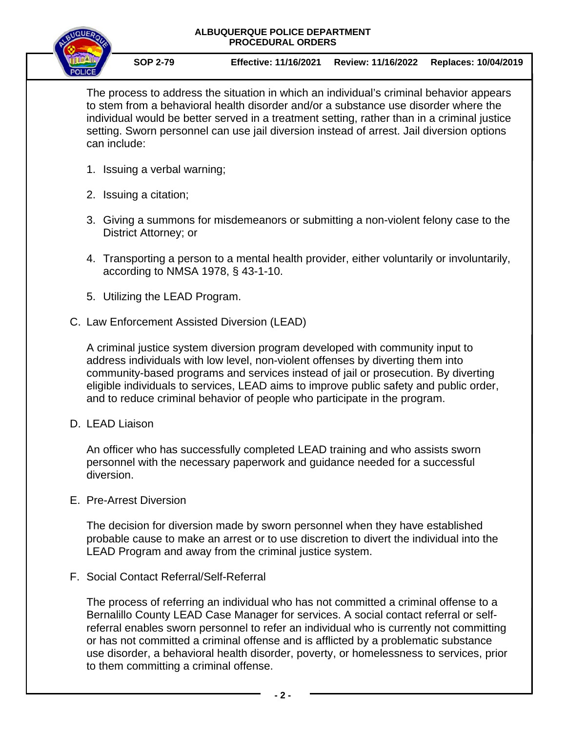

**SOP 2-79 Effective: 11/16/2021 Review: 11/16/2022 Replaces: 10/04/2019**

The process to address the situation in which an individual's criminal behavior appears to stem from a behavioral health disorder and/or a substance use disorder where the individual would be better served in a treatment setting, rather than in a criminal justice setting. Sworn personnel can use jail diversion instead of arrest. Jail diversion options can include:

- 1. Issuing a verbal warning;
- 2. Issuing a citation;
- 3. Giving a summons for misdemeanors or submitting a non-violent felony case to the District Attorney; or
- 4. Transporting a person to a mental health provider, either voluntarily or involuntarily, according to NMSA 1978, § 43-1-10.
- 5. Utilizing the LEAD Program.
- C. Law Enforcement Assisted Diversion (LEAD)

A criminal justice system diversion program developed with community input to address individuals with low level, non-violent offenses by diverting them into community-based programs and services instead of jail or prosecution. By diverting eligible individuals to services, LEAD aims to improve public safety and public order, and to reduce criminal behavior of people who participate in the program.

D. LEAD Liaison

An officer who has successfully completed LEAD training and who assists sworn personnel with the necessary paperwork and guidance needed for a successful diversion.

E. Pre-Arrest Diversion

The decision for diversion made by sworn personnel when they have established probable cause to make an arrest or to use discretion to divert the individual into the LEAD Program and away from the criminal justice system.

F. Social Contact Referral/Self-Referral

The process of referring an individual who has not committed a criminal offense to a Bernalillo County LEAD Case Manager for services. A social contact referral or selfreferral enables sworn personnel to refer an individual who is currently not committing or has not committed a criminal offense and is afflicted by a problematic substance use disorder, a behavioral health disorder, poverty, or homelessness to services, prior to them committing a criminal offense.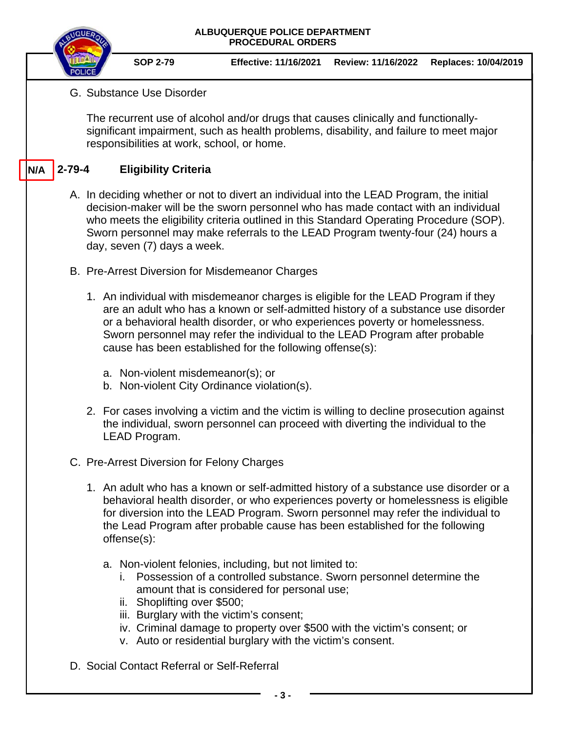|     |                                                                                                                                                                                                                                                                                                                                                                                             |  |                             | <b>ALBUQUERQUE POLICE DEPARTMENT</b><br><b>PROCEDURAL ORDERS</b>                                                                                                                                                                                                                                                                                                                                   |                    |                      |  |  |  |  |
|-----|---------------------------------------------------------------------------------------------------------------------------------------------------------------------------------------------------------------------------------------------------------------------------------------------------------------------------------------------------------------------------------------------|--|-----------------------------|----------------------------------------------------------------------------------------------------------------------------------------------------------------------------------------------------------------------------------------------------------------------------------------------------------------------------------------------------------------------------------------------------|--------------------|----------------------|--|--|--|--|
|     |                                                                                                                                                                                                                                                                                                                                                                                             |  | <b>SOP 2-79</b>             | <b>Effective: 11/16/2021</b>                                                                                                                                                                                                                                                                                                                                                                       | Review: 11/16/2022 | Replaces: 10/04/2019 |  |  |  |  |
|     | G. Substance Use Disorder                                                                                                                                                                                                                                                                                                                                                                   |  |                             |                                                                                                                                                                                                                                                                                                                                                                                                    |                    |                      |  |  |  |  |
|     | The recurrent use of alcohol and/or drugs that causes clinically and functionally-<br>significant impairment, such as health problems, disability, and failure to meet major<br>responsibilities at work, school, or home.                                                                                                                                                                  |  |                             |                                                                                                                                                                                                                                                                                                                                                                                                    |                    |                      |  |  |  |  |
| N/A | $2 - 79 - 4$                                                                                                                                                                                                                                                                                                                                                                                |  | <b>Eligibility Criteria</b> |                                                                                                                                                                                                                                                                                                                                                                                                    |                    |                      |  |  |  |  |
|     | A. In deciding whether or not to divert an individual into the LEAD Program, the initial<br>decision-maker will be the sworn personnel who has made contact with an individual<br>who meets the eligibility criteria outlined in this Standard Operating Procedure (SOP).<br>Sworn personnel may make referrals to the LEAD Program twenty-four (24) hours a<br>day, seven (7) days a week. |  |                             |                                                                                                                                                                                                                                                                                                                                                                                                    |                    |                      |  |  |  |  |
|     |                                                                                                                                                                                                                                                                                                                                                                                             |  |                             | B. Pre-Arrest Diversion for Misdemeanor Charges                                                                                                                                                                                                                                                                                                                                                    |                    |                      |  |  |  |  |
|     |                                                                                                                                                                                                                                                                                                                                                                                             |  |                             | 1. An individual with misdemeanor charges is eligible for the LEAD Program if they<br>are an adult who has a known or self-admitted history of a substance use disorder<br>or a behavioral health disorder, or who experiences poverty or homelessness.<br>Sworn personnel may refer the individual to the LEAD Program after probable<br>cause has been established for the following offense(s): |                    |                      |  |  |  |  |
|     |                                                                                                                                                                                                                                                                                                                                                                                             |  |                             | a. Non-violent misdemeanor(s); or<br>b. Non-violent City Ordinance violation(s).                                                                                                                                                                                                                                                                                                                   |                    |                      |  |  |  |  |
|     |                                                                                                                                                                                                                                                                                                                                                                                             |  | LEAD Program.               | 2. For cases involving a victim and the victim is willing to decline prosecution against<br>the individual, sworn personnel can proceed with diverting the individual to the                                                                                                                                                                                                                       |                    |                      |  |  |  |  |
|     |                                                                                                                                                                                                                                                                                                                                                                                             |  |                             | C. Pre-Arrest Diversion for Felony Charges                                                                                                                                                                                                                                                                                                                                                         |                    |                      |  |  |  |  |
|     |                                                                                                                                                                                                                                                                                                                                                                                             |  | offense(s):                 | 1. An adult who has a known or self-admitted history of a substance use disorder or a<br>behavioral health disorder, or who experiences poverty or homelessness is eligible<br>for diversion into the LEAD Program. Sworn personnel may refer the individual to<br>the Lead Program after probable cause has been established for the following                                                    |                    |                      |  |  |  |  |
|     |                                                                                                                                                                                                                                                                                                                                                                                             |  | ii. Shoplifting over \$500; | a. Non-violent felonies, including, but not limited to:<br>i. Possession of a controlled substance. Sworn personnel determine the<br>amount that is considered for personal use;<br>iii. Burglary with the victim's consent;<br>iv. Criminal damage to property over \$500 with the victim's consent; or<br>v. Auto or residential burglary with the victim's consent.                             |                    |                      |  |  |  |  |
|     | D. Social Contact Referral or Self-Referral                                                                                                                                                                                                                                                                                                                                                 |  |                             |                                                                                                                                                                                                                                                                                                                                                                                                    |                    |                      |  |  |  |  |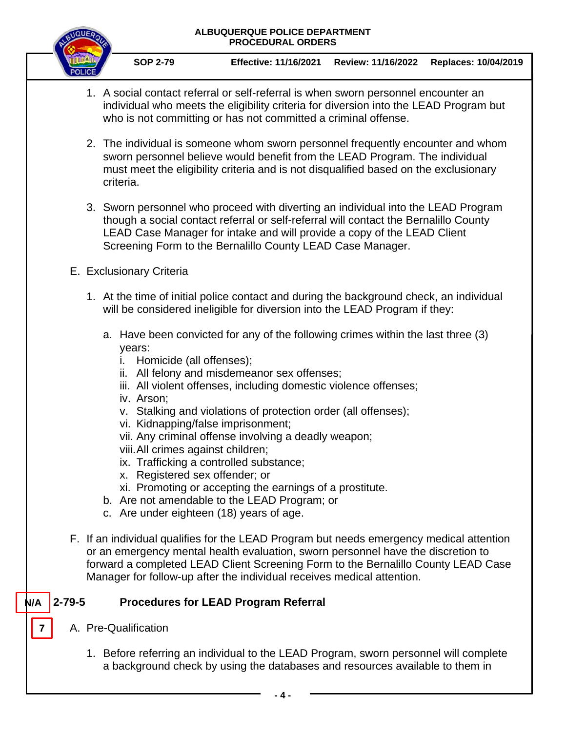

**SOP 2-79 Effective: 11/16/2021 Review: 11/16/2022 Replaces: 10/04/2019**

- 1. A social contact referral or self-referral is when sworn personnel encounter an individual who meets the eligibility criteria for diversion into the LEAD Program but who is not committing or has not committed a criminal offense.
- 2. The individual is someone whom sworn personnel frequently encounter and whom sworn personnel believe would benefit from the LEAD Program. The individual must meet the eligibility criteria and is not disqualified based on the exclusionary criteria.
- 3. Sworn personnel who proceed with diverting an individual into the LEAD Program though a social contact referral or self-referral will contact the Bernalillo County LEAD Case Manager for intake and will provide a copy of the LEAD Client Screening Form to the Bernalillo County LEAD Case Manager.
- E. Exclusionary Criteria
	- 1. At the time of initial police contact and during the background check, an individual will be considered ineligible for diversion into the LEAD Program if they:
		- a. Have been convicted for any of the following crimes within the last three (3) years:
			- i. Homicide (all offenses);
			- ii. All felony and misdemeanor sex offenses;
			- iii. All violent offenses, including domestic violence offenses;
			- iv. Arson;
			- v. Stalking and violations of protection order (all offenses);
			- vi. Kidnapping/false imprisonment;
			- vii. Any criminal offense involving a deadly weapon;
			- viii.All crimes against children;
			- ix. Trafficking a controlled substance;
			- x. Registered sex offender; or
			- xi. Promoting or accepting the earnings of a prostitute.
		- b. Are not amendable to the LEAD Program; or
		- c. Are under eighteen (18) years of age.
- F. If an individual qualifies for the LEAD Program but needs emergency medical attention or an emergency mental health evaluation, sworn personnel have the discretion to forward a completed LEAD Client Screening Form to the Bernalillo County LEAD Case Manager for follow-up after the individual receives medical attention.

### **2-79-5 Procedures for LEAD Program Referral N/A**

A. Pre-Qualification

**7**

1. Before referring an individual to the LEAD Program, sworn personnel will complete a background check by using the databases and resources available to them in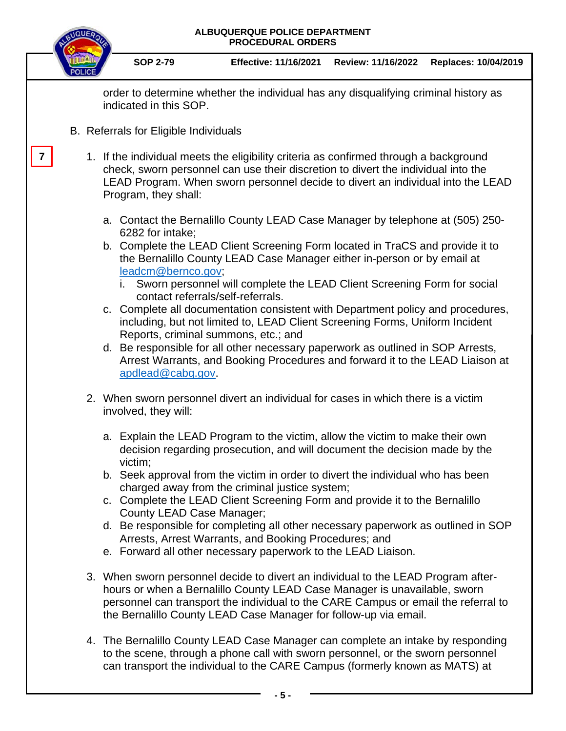|                                                                                                                                                                                                                                                   |                                                                                                                                                                                                                                                                                                                          | ALBUQUERQUE POLICE DEPARTMENT<br><b>PROCEDURAL ORDERS</b>                                                                                                                                                                                                                                                                                                                                                                                                                                                                                                                                                                                                                                                                                                                                                  |                                                                                                                                                                                                                                                                                                                                                                                                                                                                                                                                                                                                |                    |                      |  |  |  |  |
|---------------------------------------------------------------------------------------------------------------------------------------------------------------------------------------------------------------------------------------------------|--------------------------------------------------------------------------------------------------------------------------------------------------------------------------------------------------------------------------------------------------------------------------------------------------------------------------|------------------------------------------------------------------------------------------------------------------------------------------------------------------------------------------------------------------------------------------------------------------------------------------------------------------------------------------------------------------------------------------------------------------------------------------------------------------------------------------------------------------------------------------------------------------------------------------------------------------------------------------------------------------------------------------------------------------------------------------------------------------------------------------------------------|------------------------------------------------------------------------------------------------------------------------------------------------------------------------------------------------------------------------------------------------------------------------------------------------------------------------------------------------------------------------------------------------------------------------------------------------------------------------------------------------------------------------------------------------------------------------------------------------|--------------------|----------------------|--|--|--|--|
|                                                                                                                                                                                                                                                   |                                                                                                                                                                                                                                                                                                                          | <b>SOP 2-79</b>                                                                                                                                                                                                                                                                                                                                                                                                                                                                                                                                                                                                                                                                                                                                                                                            | <b>Effective: 11/16/2021</b>                                                                                                                                                                                                                                                                                                                                                                                                                                                                                                                                                                   | Review: 11/16/2022 | Replaces: 10/04/2019 |  |  |  |  |
|                                                                                                                                                                                                                                                   | order to determine whether the individual has any disqualifying criminal history as<br>indicated in this SOP.                                                                                                                                                                                                            |                                                                                                                                                                                                                                                                                                                                                                                                                                                                                                                                                                                                                                                                                                                                                                                                            |                                                                                                                                                                                                                                                                                                                                                                                                                                                                                                                                                                                                |                    |                      |  |  |  |  |
|                                                                                                                                                                                                                                                   | B. Referrals for Eligible Individuals                                                                                                                                                                                                                                                                                    |                                                                                                                                                                                                                                                                                                                                                                                                                                                                                                                                                                                                                                                                                                                                                                                                            |                                                                                                                                                                                                                                                                                                                                                                                                                                                                                                                                                                                                |                    |                      |  |  |  |  |
|                                                                                                                                                                                                                                                   |                                                                                                                                                                                                                                                                                                                          | 1. If the individual meets the eligibility criteria as confirmed through a background<br>check, sworn personnel can use their discretion to divert the individual into the<br>LEAD Program. When sworn personnel decide to divert an individual into the LEAD<br>Program, they shall:                                                                                                                                                                                                                                                                                                                                                                                                                                                                                                                      |                                                                                                                                                                                                                                                                                                                                                                                                                                                                                                                                                                                                |                    |                      |  |  |  |  |
|                                                                                                                                                                                                                                                   |                                                                                                                                                                                                                                                                                                                          | a. Contact the Bernalillo County LEAD Case Manager by telephone at (505) 250-<br>6282 for intake;<br>b. Complete the LEAD Client Screening Form located in TraCS and provide it to<br>the Bernalillo County LEAD Case Manager either in-person or by email at<br>leadcm@bernco.gov;<br>i. Sworn personnel will complete the LEAD Client Screening Form for social<br>contact referrals/self-referrals.<br>c. Complete all documentation consistent with Department policy and procedures,<br>including, but not limited to, LEAD Client Screening Forms, Uniform Incident<br>Reports, criminal summons, etc.; and<br>d. Be responsible for all other necessary paperwork as outlined in SOP Arrests,<br>Arrest Warrants, and Booking Procedures and forward it to the LEAD Liaison at<br>apdlead@cabq.gov. |                                                                                                                                                                                                                                                                                                                                                                                                                                                                                                                                                                                                |                    |                      |  |  |  |  |
| 2. When sworn personnel divert an individual for cases in which there is a victim<br>involved, they will:                                                                                                                                         |                                                                                                                                                                                                                                                                                                                          |                                                                                                                                                                                                                                                                                                                                                                                                                                                                                                                                                                                                                                                                                                                                                                                                            |                                                                                                                                                                                                                                                                                                                                                                                                                                                                                                                                                                                                |                    |                      |  |  |  |  |
|                                                                                                                                                                                                                                                   |                                                                                                                                                                                                                                                                                                                          | victim;<br>County LEAD Case Manager;                                                                                                                                                                                                                                                                                                                                                                                                                                                                                                                                                                                                                                                                                                                                                                       | a. Explain the LEAD Program to the victim, allow the victim to make their own<br>decision regarding prosecution, and will document the decision made by the<br>b. Seek approval from the victim in order to divert the individual who has been<br>charged away from the criminal justice system;<br>c. Complete the LEAD Client Screening Form and provide it to the Bernalillo<br>d. Be responsible for completing all other necessary paperwork as outlined in SOP<br>Arrests, Arrest Warrants, and Booking Procedures; and<br>e. Forward all other necessary paperwork to the LEAD Liaison. |                    |                      |  |  |  |  |
|                                                                                                                                                                                                                                                   | 3. When sworn personnel decide to divert an individual to the LEAD Program after-<br>hours or when a Bernalillo County LEAD Case Manager is unavailable, sworn<br>personnel can transport the individual to the CARE Campus or email the referral to<br>the Bernalillo County LEAD Case Manager for follow-up via email. |                                                                                                                                                                                                                                                                                                                                                                                                                                                                                                                                                                                                                                                                                                                                                                                                            |                                                                                                                                                                                                                                                                                                                                                                                                                                                                                                                                                                                                |                    |                      |  |  |  |  |
| 4. The Bernalillo County LEAD Case Manager can complete an intake by responding<br>to the scene, through a phone call with sworn personnel, or the sworn personnel<br>can transport the individual to the CARE Campus (formerly known as MATS) at |                                                                                                                                                                                                                                                                                                                          |                                                                                                                                                                                                                                                                                                                                                                                                                                                                                                                                                                                                                                                                                                                                                                                                            |                                                                                                                                                                                                                                                                                                                                                                                                                                                                                                                                                                                                |                    |                      |  |  |  |  |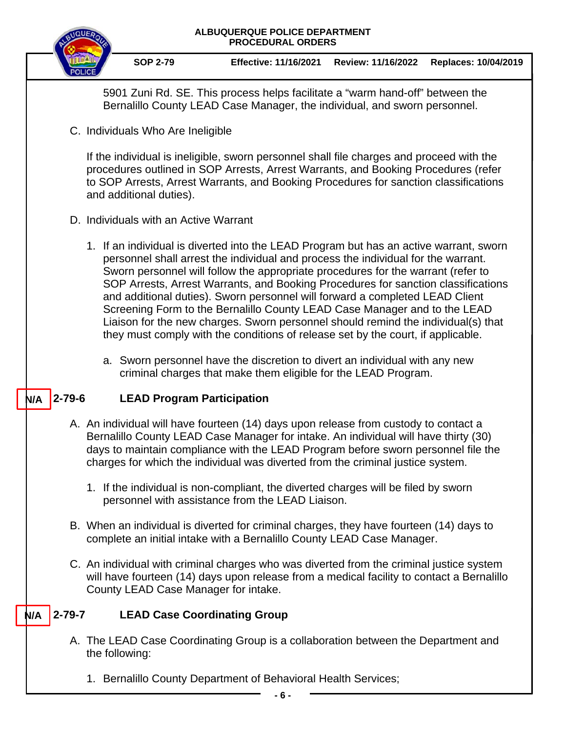

**SOP 2-79 Effective: 11/16/2021 Review: 11/16/2022 Replaces: 10/04/2019**

5901 Zuni Rd. SE. This process helps facilitate a "warm hand-off" between the Bernalillo County LEAD Case Manager, the individual, and sworn personnel.

C. Individuals Who Are Ineligible

If the individual is ineligible, sworn personnel shall file charges and proceed with the procedures outlined in SOP Arrests, Arrest Warrants, and Booking Procedures (refer to SOP Arrests, Arrest Warrants, and Booking Procedures for sanction classifications and additional duties).

- D. Individuals with an Active Warrant
	- 1. If an individual is diverted into the LEAD Program but has an active warrant, sworn personnel shall arrest the individual and process the individual for the warrant. Sworn personnel will follow the appropriate procedures for the warrant (refer to SOP Arrests, Arrest Warrants, and Booking Procedures for sanction classifications and additional duties). Sworn personnel will forward a completed LEAD Client Screening Form to the Bernalillo County LEAD Case Manager and to the LEAD Liaison for the new charges. Sworn personnel should remind the individual(s) that they must comply with the conditions of release set by the court, if applicable.
		- a. Sworn personnel have the discretion to divert an individual with any new criminal charges that make them eligible for the LEAD Program.

### **2-79-6 LEAD Program Participation N/A**

- A. An individual will have fourteen (14) days upon release from custody to contact a Bernalillo County LEAD Case Manager for intake. An individual will have thirty (30) days to maintain compliance with the LEAD Program before sworn personnel file the charges for which the individual was diverted from the criminal justice system.
	- 1. If the individual is non-compliant, the diverted charges will be filed by sworn personnel with assistance from the LEAD Liaison.
- B. When an individual is diverted for criminal charges, they have fourteen (14) days to complete an initial intake with a Bernalillo County LEAD Case Manager.
- C. An individual with criminal charges who was diverted from the criminal justice system will have fourteen (14) days upon release from a medical facility to contact a Bernalillo County LEAD Case Manager for intake.

### **2-79-7 LEAD Case Coordinating Group N/A**

- A. The LEAD Case Coordinating Group is a collaboration between the Department and the following:
	- 1. Bernalillo County Department of Behavioral Health Services;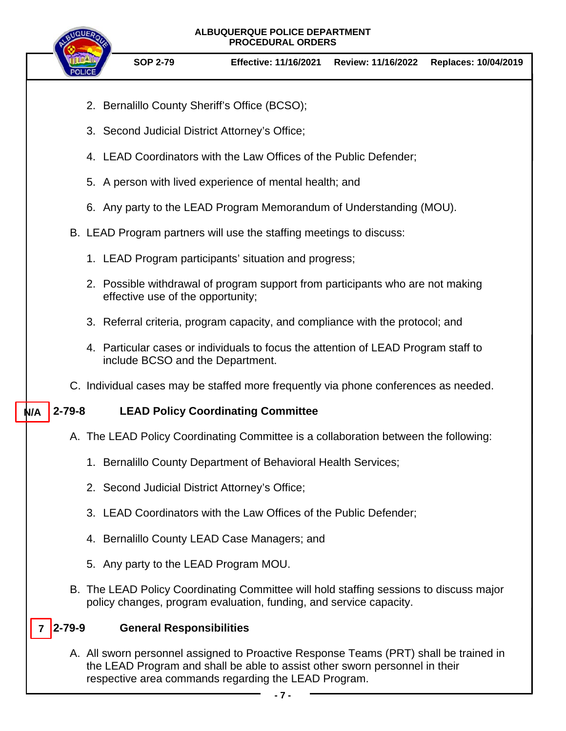- 2. Bernalillo County Sheriff's Office (BCSO);
- 3. Second Judicial District Attorney's Office;
- 4. LEAD Coordinators with the Law Offices of the Public Defender;
- 5. A person with lived experience of mental health; and
- 6. Any party to the LEAD Program Memorandum of Understanding (MOU).
- B. LEAD Program partners will use the staffing meetings to discuss:
	- 1. LEAD Program participants' situation and progress;
	- 2. Possible withdrawal of program support from participants who are not making effective use of the opportunity;
	- 3. Referral criteria, program capacity, and compliance with the protocol; and
	- 4. Particular cases or individuals to focus the attention of LEAD Program staff to include BCSO and the Department.
- C. Individual cases may be staffed more frequently via phone conferences as needed.

#### **2-79-8 LEAD Policy Coordinating Committee N/A**

- A. The LEAD Policy Coordinating Committee is a collaboration between the following:
	- 1. Bernalillo County Department of Behavioral Health Services;
	- 2. Second Judicial District Attorney's Office;
	- 3. LEAD Coordinators with the Law Offices of the Public Defender;
	- 4. Bernalillo County LEAD Case Managers; and
	- 5. Any party to the LEAD Program MOU.
- B. The LEAD Policy Coordinating Committee will hold staffing sessions to discuss major policy changes, program evaluation, funding, and service capacity.

### **2-79-9 General Responsibilities 7**

A. All sworn personnel assigned to Proactive Response Teams (PRT) shall be trained in the LEAD Program and shall be able to assist other sworn personnel in their respective area commands regarding the LEAD Program.